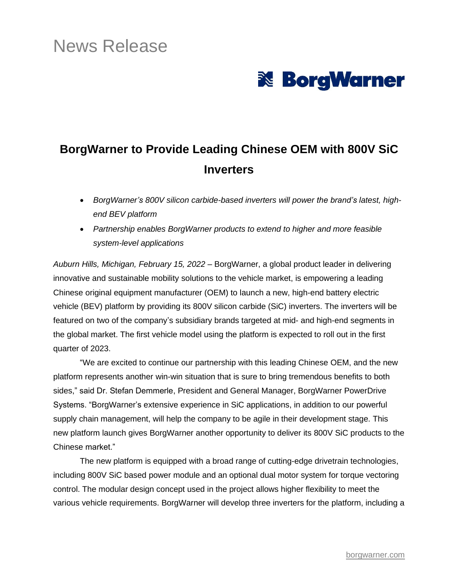# News Release



## **BorgWarner to Provide Leading Chinese OEM with 800V SiC Inverters**

- *BorgWarner's 800V silicon carbide-based inverters will power the brand's latest, highend BEV platform*
- *Partnership enables BorgWarner products to extend to higher and more feasible system-level applications*

*Auburn Hills, Michigan, February 15, 2022 –* BorgWarner, a global product leader in delivering innovative and sustainable mobility solutions to the vehicle market, is empowering a leading Chinese original equipment manufacturer (OEM) to launch a new, high-end battery electric vehicle (BEV) platform by providing its 800V silicon carbide (SiC) inverters. The inverters will be featured on two of the company's subsidiary brands targeted at mid- and high-end segments in the global market. The first vehicle model using the platform is expected to roll out in the first quarter of 2023.

"We are excited to continue our partnership with this leading Chinese OEM, and the new platform represents another win-win situation that is sure to bring tremendous benefits to both sides," said Dr. Stefan Demmerle, President and General Manager, BorgWarner PowerDrive Systems. "BorgWarner's extensive experience in SiC applications, in addition to our powerful supply chain management, will help the company to be agile in their development stage. This new platform launch gives BorgWarner another opportunity to deliver its 800V SiC products to the Chinese market."

The new platform is equipped with a broad range of cutting-edge drivetrain technologies, including 800V SiC based power module and an optional dual motor system for torque vectoring control. The modular design concept used in the project allows higher flexibility to meet the various vehicle requirements. BorgWarner will develop three inverters for the platform, including a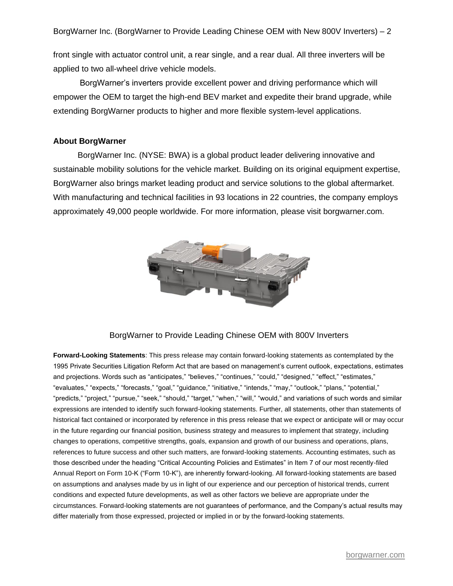front single with actuator control unit, a rear single, and a rear dual. All three inverters will be applied to two all-wheel drive vehicle models.

BorgWarner's inverters provide excellent power and driving performance which will empower the OEM to target the high-end BEV market and expedite their brand upgrade, while extending BorgWarner products to higher and more flexible system-level applications.

#### **About BorgWarner**

BorgWarner Inc. (NYSE: BWA) is a global product leader delivering innovative and sustainable mobility solutions for the vehicle market. Building on its original equipment expertise, BorgWarner also brings market leading product and service solutions to the global aftermarket. With manufacturing and technical facilities in 93 locations in 22 countries, the company employs approximately 49,000 people worldwide. For more information, please visit borgwarner.com.



#### BorgWarner to Provide Leading Chinese OEM with 800V Inverters

**Forward-Looking Statements**: This press release may contain forward-looking statements as contemplated by the 1995 Private Securities Litigation Reform Act that are based on management's current outlook, expectations, estimates and projections. Words such as "anticipates," "believes," "continues," "could," "designed," "effect," "estimates," "evaluates," "expects," "forecasts," "goal," "guidance," "initiative," "intends," "may," "outlook," "plans," "potential," "predicts," "project," "pursue," "seek," "should," "target," "when," "will," "would," and variations of such words and similar expressions are intended to identify such forward-looking statements. Further, all statements, other than statements of historical fact contained or incorporated by reference in this press release that we expect or anticipate will or may occur in the future regarding our financial position, business strategy and measures to implement that strategy, including changes to operations, competitive strengths, goals, expansion and growth of our business and operations, plans, references to future success and other such matters, are forward-looking statements. Accounting estimates, such as those described under the heading "Critical Accounting Policies and Estimates" in Item 7 of our most recently-filed Annual Report on Form 10-K ("Form 10-K"), are inherently forward-looking. All forward-looking statements are based on assumptions and analyses made by us in light of our experience and our perception of historical trends, current conditions and expected future developments, as well as other factors we believe are appropriate under the circumstances. Forward-looking statements are not guarantees of performance, and the Company's actual results may differ materially from those expressed, projected or implied in or by the forward-looking statements.